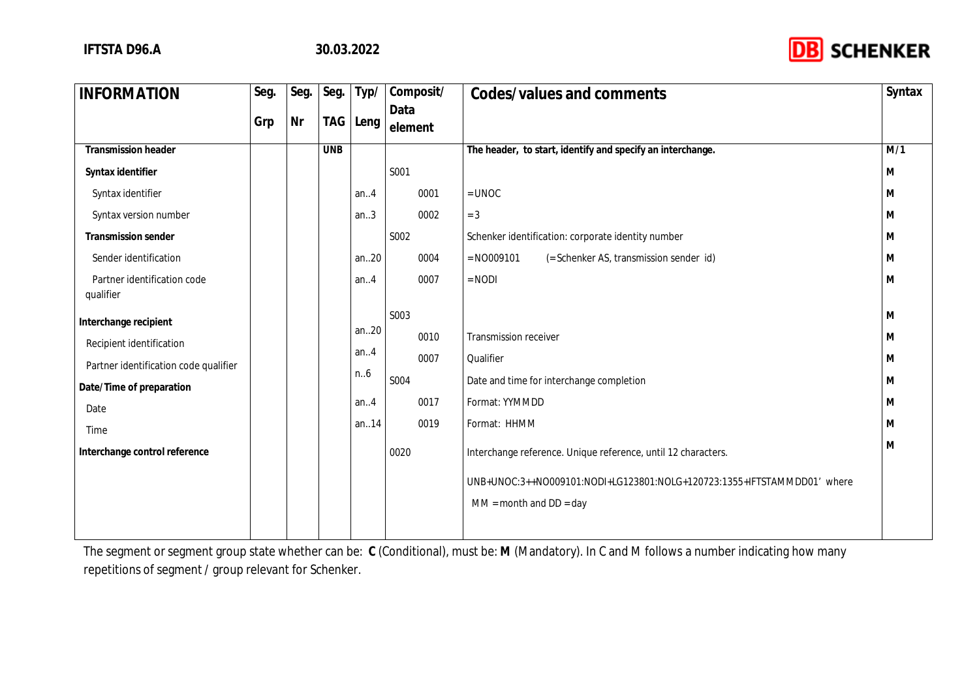

| <b>INFORMATION</b>                       | Seg. | Seg. | Seg.       | Typ/     | Composit/       | Codes/values and comments                                               | Syntax |
|------------------------------------------|------|------|------------|----------|-----------------|-------------------------------------------------------------------------|--------|
|                                          | Grp  | Nr   | TAG        | Leng     | Data<br>element |                                                                         |        |
| Transmission header                      |      |      | <b>UNB</b> |          |                 | The header, to start, identify and specify an interchange.              | M/1    |
| Syntax identifier                        |      |      |            |          | S001            |                                                                         | M      |
| Syntax identifier                        |      |      |            | an. $4$  | 0001            | $=$ UNOC                                                                | M      |
| Syntax version number                    |      |      |            | an.3     | 0002            | $= 3$                                                                   | M      |
| Transmission sender                      |      |      |            |          | S002            | Schenker identification: corporate identity number                      | M      |
| Sender identification                    |      |      |            | an20     | 0004            | $= N0009101$<br>(= Schenker AS, transmission sender id)                 | M      |
| Partner identification code<br>qualifier |      |      |            | an.4     | 0007            | $=$ NODI                                                                | M      |
| Interchange recipient                    |      |      |            |          | S003            |                                                                         | M      |
| Recipient identification                 |      |      |            | an20     | 0010            | Transmission receiver                                                   | M      |
| Partner identification code qualifier    |      |      |            | an. $.4$ | 0007            | Qualifier                                                               | M      |
| Date/Time of preparation                 |      |      |            | n.6      | S004            | Date and time for interchange completion                                | M      |
| Date                                     |      |      |            | an.4     | 0017            | Format: YYMMDD                                                          | M      |
| Time                                     |      |      |            | an14     | 0019            | Format: HHMM                                                            | M      |
| Interchange control reference            |      |      |            |          | 0020            | Interchange reference. Unique reference, until 12 characters.           | M      |
|                                          |      |      |            |          |                 | UNB+UNOC:3++NO009101:NODI+LG123801:NOLG+120723:1355+IFTSTAMMDD01' where |        |
|                                          |      |      |            |          |                 | $MM = month$ and $DD = day$                                             |        |
|                                          |      |      |            |          |                 |                                                                         |        |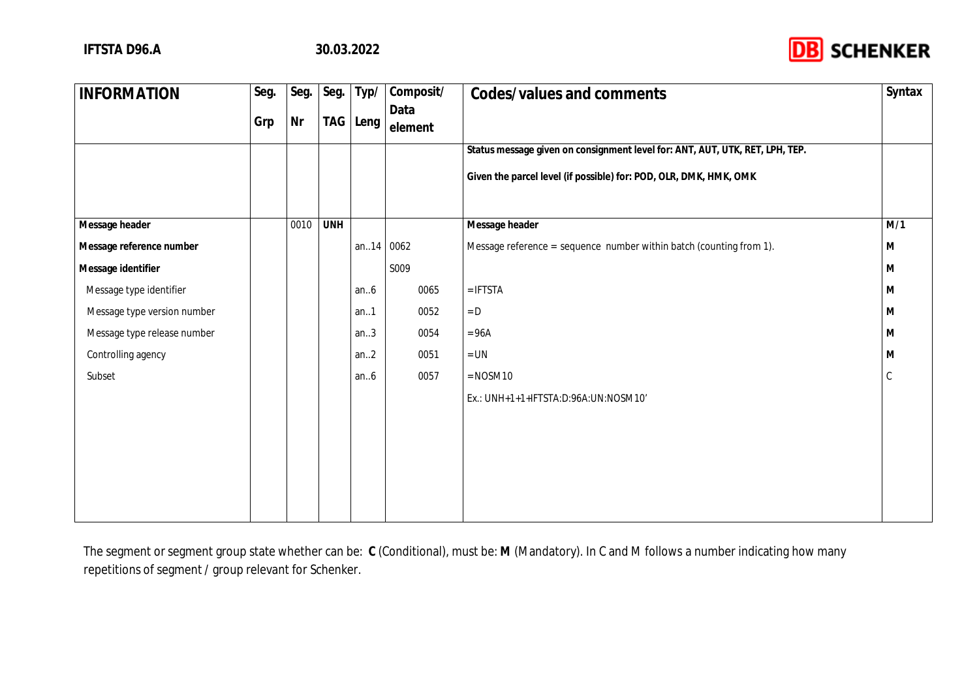

| <b>INFORMATION</b>          | Seg. | Seg.      | Seg.       | Typ/      | Composit/       | Codes/values and comments                                                    | Syntax |
|-----------------------------|------|-----------|------------|-----------|-----------------|------------------------------------------------------------------------------|--------|
|                             | Grp  | <b>Nr</b> | TAG        | Leng      | Data<br>element |                                                                              |        |
|                             |      |           |            |           |                 | Status message given on consignment level for: ANT, AUT, UTK, RET, LPH, TEP. |        |
|                             |      |           |            |           |                 | Given the parcel level (if possible) for: POD, OLR, DMK, HMK, OMK            |        |
| Message header              |      | 0010      | <b>UNH</b> |           |                 | Message header                                                               | M/1    |
| Message reference number    |      |           |            | an14 0062 |                 | Message reference = sequence number within batch (counting from 1).          | M      |
| Message identifier          |      |           |            |           | S009            |                                                                              | M      |
| Message type identifier     |      |           |            | an $6$    | 0065            | $=$ IFTSTA                                                                   | M      |
| Message type version number |      |           |            | an.1      | 0052            | $= D$                                                                        | M      |
| Message type release number |      |           |            | an.3      | 0054            | $= 96A$                                                                      | M      |
| Controlling agency          |      |           |            | an.2      | 0051            | $= UN$                                                                       | M      |
| Subset                      |      |           |            | an.6      | 0057            | $=$ NOSM10                                                                   |        |
|                             |      |           |            |           |                 | Ex.: UNH+1+1+IFTSTA:D:96A:UN:NOSM10'                                         |        |
|                             |      |           |            |           |                 |                                                                              |        |
|                             |      |           |            |           |                 |                                                                              |        |
|                             |      |           |            |           |                 |                                                                              |        |
|                             |      |           |            |           |                 |                                                                              |        |
|                             |      |           |            |           |                 |                                                                              |        |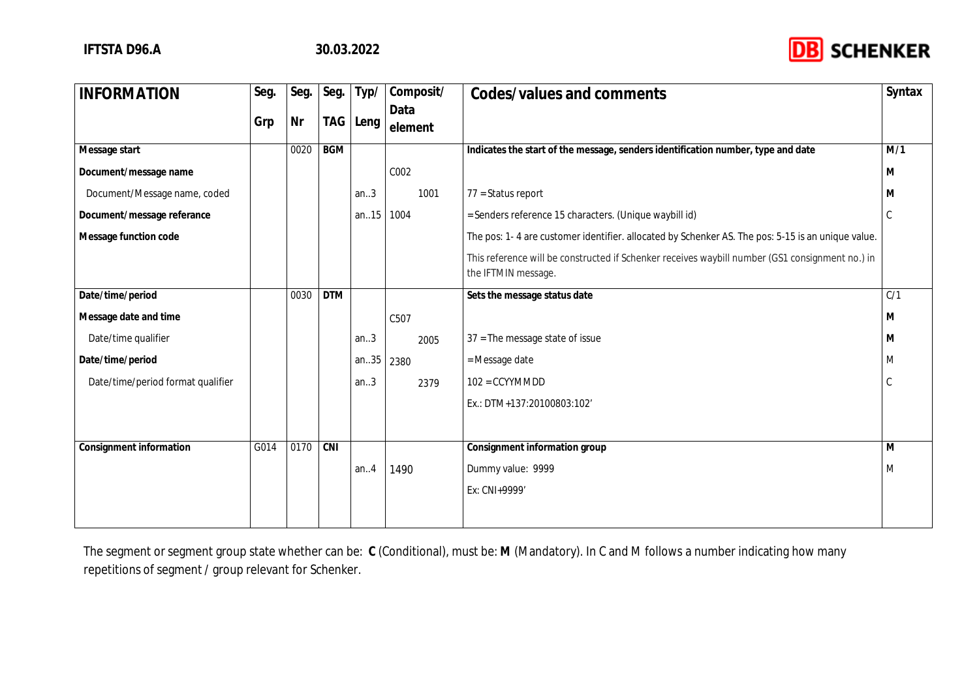

| <b>INFORMATION</b>                | Seg. | Seg. | Seg.       | Typ/  | Composit/ | Codes/values and comments                                                                                              | Syntax |
|-----------------------------------|------|------|------------|-------|-----------|------------------------------------------------------------------------------------------------------------------------|--------|
|                                   | Grp  | Nr   | TAG        | Leng  | Data      |                                                                                                                        |        |
|                                   |      |      |            |       | element   |                                                                                                                        |        |
| Message start                     |      | 0020 | <b>BGM</b> |       |           | Indicates the start of the message, senders identification number, type and date                                       | M/1    |
| Document/message name             |      |      |            |       | C002      |                                                                                                                        | M      |
| Document/Message name, coded      |      |      |            | an.3  | 1001      | $77 =$ Status report                                                                                                   |        |
| Document/message referance        |      |      |            | an.15 | 1004      | = Senders reference 15 characters. (Unique waybill id)                                                                 |        |
| Message function code             |      |      |            |       |           | The pos: 1-4 are customer identifier. allocated by Schenker AS. The pos: 5-15 is an unique value.                      |        |
|                                   |      |      |            |       |           | This reference will be constructed if Schenker receives waybill number (GS1 consignment no.) in<br>the IFTMIN message. |        |
| Date/time/period                  |      | 0030 | <b>DTM</b> |       |           | Sets the message status date                                                                                           | C/1    |
| Message date and time             |      |      |            |       | C507      |                                                                                                                        | M      |
| Date/time qualifier               |      |      |            | an.3  | 2005      | $37$ = The message state of issue                                                                                      | M      |
| Date/time/period                  |      |      |            | an.35 | 2380      | = Message date                                                                                                         | M      |
| Date/time/period format qualifier |      |      |            | an.3  | 2379      | $102 = CCYYMMDD$                                                                                                       |        |
|                                   |      |      |            |       |           | Ex.: DTM+137:20100803:102'                                                                                             |        |
|                                   |      |      |            |       |           |                                                                                                                        |        |
| Consignment information           | G014 | 0170 | CNI        |       |           | Consignment information group                                                                                          | M      |
|                                   |      |      |            | an.4  | 1490      | Dummy value: 9999                                                                                                      | M      |
|                                   |      |      |            |       |           | Ex: CNI+9999'                                                                                                          |        |
|                                   |      |      |            |       |           |                                                                                                                        |        |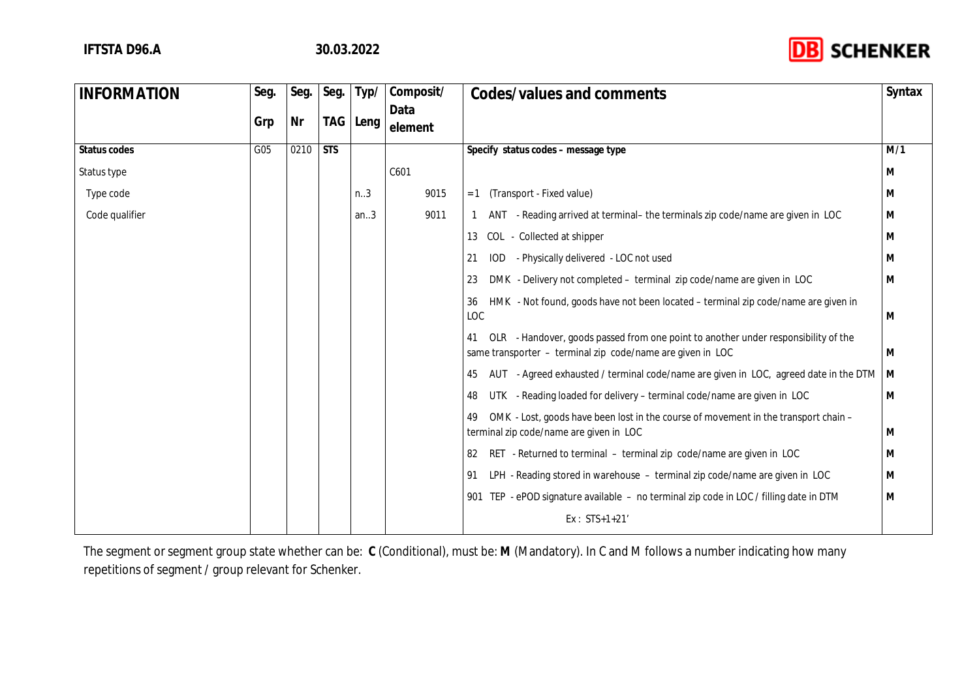

| <b>INFORMATION</b> | Seg. | Seg. | Seg.       | Typ/ | Composit/       | Codes/values and comments                                                                                                                              | Syntax |
|--------------------|------|------|------------|------|-----------------|--------------------------------------------------------------------------------------------------------------------------------------------------------|--------|
|                    | Grp  | Nr   | TAG        | Leng | Data<br>element |                                                                                                                                                        |        |
| Status codes       | G05  | 0210 | <b>STS</b> |      |                 | Specify status codes - message type                                                                                                                    | M/1    |
| Status type        |      |      |            |      | C601            |                                                                                                                                                        | M      |
| Type code          |      |      |            | n.3  | 9015            | (Transport - Fixed value)<br>$= 1$                                                                                                                     | M      |
| Code qualifier     |      |      |            | an.3 | 9011            | ANT - Reading arrived at terminal- the terminals zip code/name are given in LOC                                                                        | M      |
|                    |      |      |            |      |                 | COL - Collected at shipper<br>13                                                                                                                       | M      |
|                    |      |      |            |      |                 | - Physically delivered - LOC not used<br>IOD.<br>21                                                                                                    | M      |
|                    |      |      |            |      |                 | DMK - Delivery not completed - terminal zip code/name are given in LOC<br>23                                                                           | M      |
|                    |      |      |            |      |                 | HMK - Not found, goods have not been located - terminal zip code/name are given in<br>36<br>LOC                                                        | M      |
|                    |      |      |            |      |                 | OLR - Handover, goods passed from one point to another under responsibility of the<br>41<br>same transporter - terminal zip code/name are given in LOC | M      |
|                    |      |      |            |      |                 | AUT - Agreed exhausted / terminal code/name are given in LOC, agreed date in the DTM<br>45                                                             | M      |
|                    |      |      |            |      |                 | UTK - Reading loaded for delivery - terminal code/name are given in LOC<br>48                                                                          | M      |
|                    |      |      |            |      |                 | OMK - Lost, goods have been lost in the course of movement in the transport chain -<br>49<br>terminal zip code/name are given in LOC                   | M      |
|                    |      |      |            |      |                 | RET - Returned to terminal - terminal zip code/name are given in LOC<br>82                                                                             | M      |
|                    |      |      |            |      |                 | LPH - Reading stored in warehouse - terminal zip code/name are given in LOC<br>91                                                                      | M      |
|                    |      |      |            |      |                 | 901 TEP - ePOD signature available - no terminal zip code in LOC / filling date in DTM                                                                 | M      |
|                    |      |      |            |      |                 | $Ex: STS+1+21$                                                                                                                                         |        |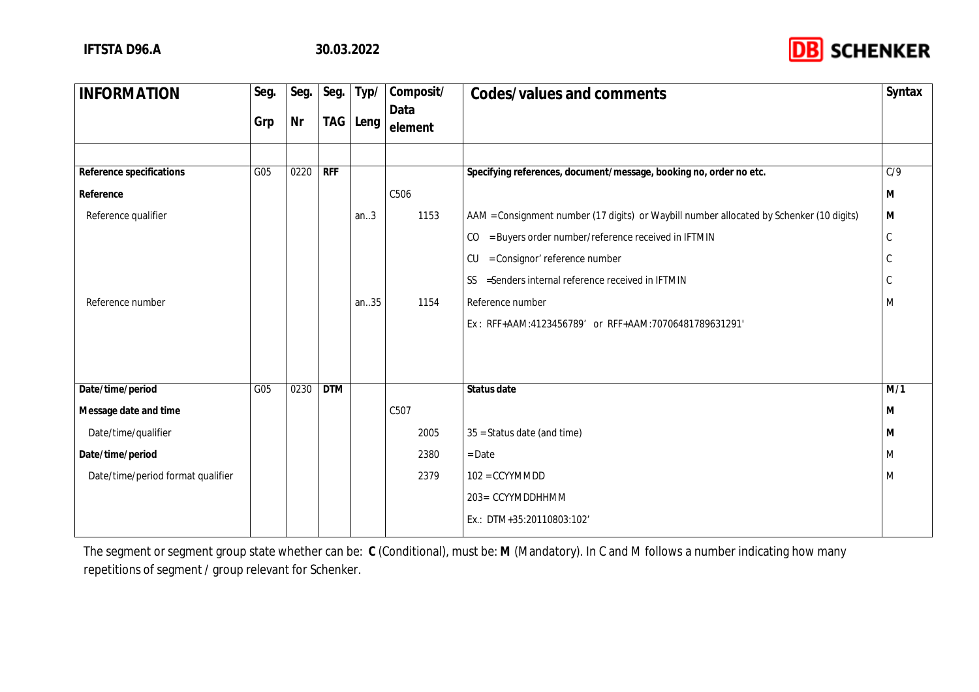

| <b>INFORMATION</b>                | Seg. | Seg. | Seg.       | Typ/ | Composit/       | Codes/values and comments                                                                | Syntax           |
|-----------------------------------|------|------|------------|------|-----------------|------------------------------------------------------------------------------------------|------------------|
|                                   | Grp  | Nr   | TAG        | Leng | Data<br>element |                                                                                          |                  |
|                                   |      |      |            |      |                 |                                                                                          |                  |
| Reference specifications          | G05  | 0220 | RFF        |      |                 | Specifying references, document/message, booking no, order no etc.                       | $\overline{C/9}$ |
| Reference                         |      |      |            |      | C506            |                                                                                          | M                |
| Reference qualifier               |      |      |            | an.3 | 1153            | AAM = Consignment number (17 digits) or Waybill number allocated by Schenker (10 digits) | M                |
|                                   |      |      |            |      |                 | CO = Buyers order number/reference received in IFTMIN                                    | $\mathsf C$      |
|                                   |      |      |            |      |                 | = Consignor' reference number<br>CU                                                      |                  |
|                                   |      |      |            |      |                 | SS = Senders internal reference received in IFTMIN                                       |                  |
| Reference number                  |      |      |            | an35 | 1154            | Reference number                                                                         | M                |
|                                   |      |      |            |      |                 | Ex: RFF+AAM:4123456789' or RFF+AAM:70706481789631291'                                    |                  |
|                                   |      |      |            |      |                 |                                                                                          |                  |
|                                   |      |      |            |      |                 |                                                                                          |                  |
| Date/time/period                  | G05  | 0230 | <b>DTM</b> |      |                 | Status date                                                                              | M/1              |
| Message date and time             |      |      |            |      | C507            |                                                                                          | M                |
| Date/time/qualifier               |      |      |            |      | 2005            | 35 = Status date (and time)                                                              | M                |
| Date/time/period                  |      |      |            |      | 2380            | $=$ Date                                                                                 | M                |
| Date/time/period format qualifier |      |      |            |      | 2379            | $102 = CCYYMMDD$                                                                         | M                |
|                                   |      |      |            |      |                 | 203= CCYYMDDHHMM                                                                         |                  |
|                                   |      |      |            |      |                 | Ex.: DTM+35:20110803:102'                                                                |                  |
|                                   |      |      |            |      |                 |                                                                                          |                  |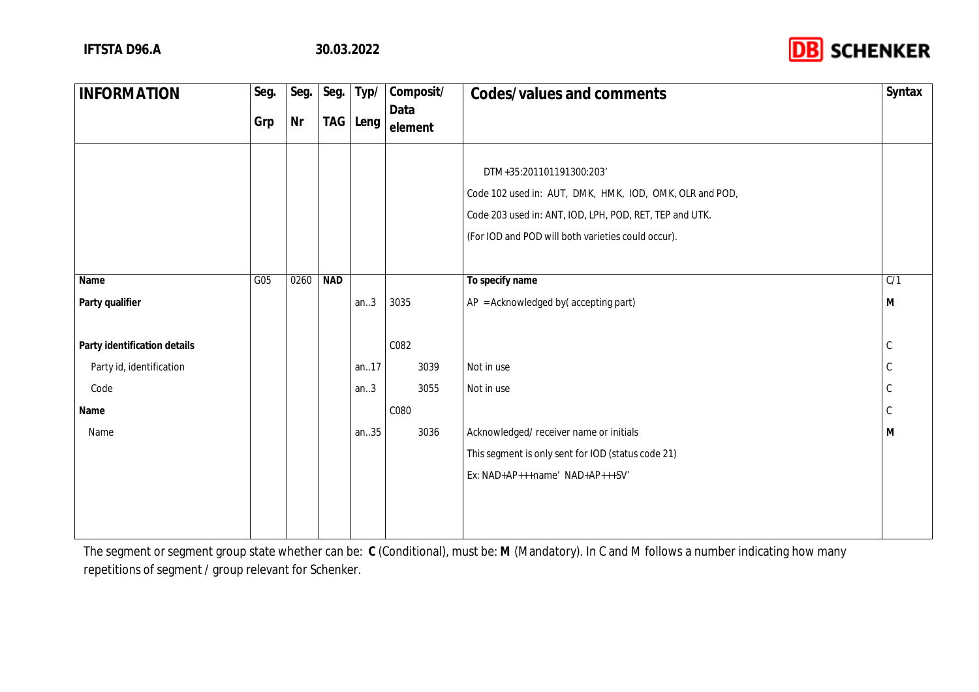

| <b>INFORMATION</b>           | Seg. | Seg. | Seg.       | Typ/ | Composit/ | Codes/values and comments                               | Syntax |
|------------------------------|------|------|------------|------|-----------|---------------------------------------------------------|--------|
|                              | Grp  | Nr   | <b>TAG</b> | Leng | Data      |                                                         |        |
|                              |      |      |            |      | element   |                                                         |        |
|                              |      |      |            |      |           |                                                         |        |
|                              |      |      |            |      |           | DTM+35:201101191300:203'                                |        |
|                              |      |      |            |      |           | Code 102 used in: AUT, DMK, HMK, IOD, OMK, OLR and POD, |        |
|                              |      |      |            |      |           | Code 203 used in: ANT, IOD, LPH, POD, RET, TEP and UTK. |        |
|                              |      |      |            |      |           | (For IOD and POD will both varieties could occur).      |        |
|                              |      |      |            |      |           |                                                         |        |
| Name                         | G05  | 0260 | <b>NAD</b> |      |           | To specify name                                         | C/1    |
| Party qualifier              |      |      |            | an.3 | 3035      | $AP = Acknowledged by (accepting part)$                 | M      |
|                              |      |      |            |      |           |                                                         |        |
| Party identification details |      |      |            |      | C082      |                                                         | C      |
| Party id, identification     |      |      |            | an17 | 3039      | Not in use                                              |        |
| Code                         |      |      |            | an.3 | 3055      | Not in use                                              | C      |
| Name                         |      |      |            |      | C080      |                                                         | C      |
| Name                         |      |      |            | an35 | 3036      | Acknowledged/ receiver name or initials                 | M      |
|                              |      |      |            |      |           | This segment is only sent for IOD (status code 21)      |        |
|                              |      |      |            |      |           | Ex: NAD+AP+++name' NAD+AP+++SV'                         |        |
|                              |      |      |            |      |           |                                                         |        |
|                              |      |      |            |      |           |                                                         |        |
|                              |      |      |            |      |           |                                                         |        |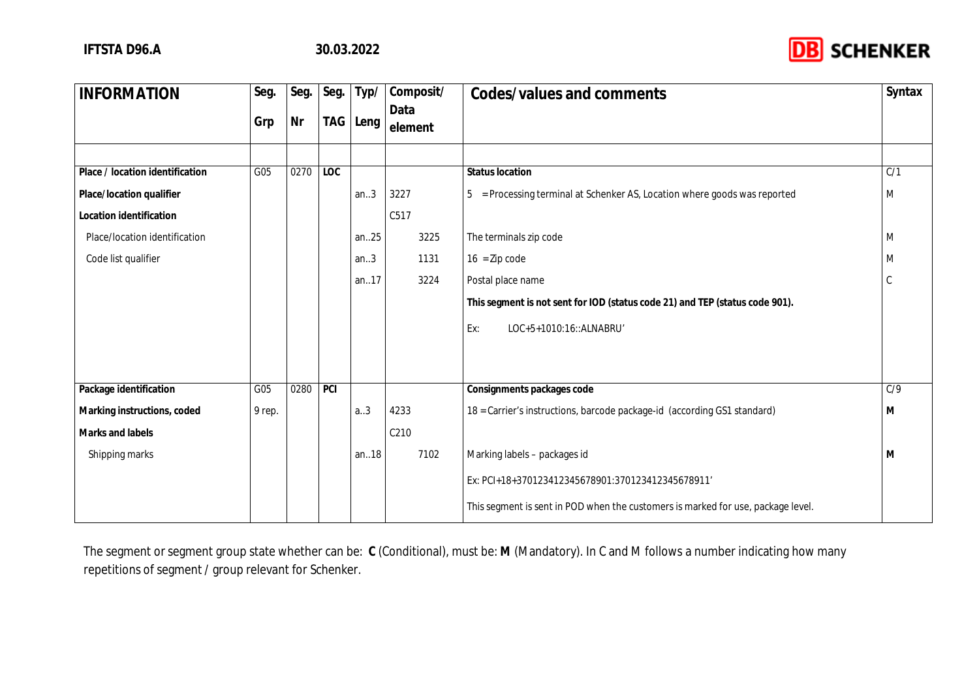

| <b>INFORMATION</b>              | Seg.   | Seg. | Seg.       | Typ/  | Composit/       | Codes/values and comments                                                        | Syntax           |
|---------------------------------|--------|------|------------|-------|-----------------|----------------------------------------------------------------------------------|------------------|
|                                 | Grp    | Nr   | <b>TAG</b> | Leng  | Data<br>element |                                                                                  |                  |
|                                 |        |      |            |       |                 |                                                                                  |                  |
| Place / location identification | G05    | 0270 | <b>LOC</b> |       |                 | <b>Status location</b>                                                           | $\overline{C/1}$ |
| Place/location qualifier        |        |      |            | an.3  | 3227            | = Processing terminal at Schenker AS, Location where goods was reported<br>5     | M                |
| Location identification         |        |      |            |       | C517            |                                                                                  |                  |
| Place/location identification   |        |      |            | an.25 | 3225            | The terminals zip code                                                           | M                |
| Code list qualifier             |        |      |            | an.3  | 1131            | $16 = Zip code$                                                                  |                  |
|                                 |        |      |            | an.17 | 3224            | Postal place name                                                                |                  |
|                                 |        |      |            |       |                 | This segment is not sent for IOD (status code 21) and TEP (status code 901).     |                  |
|                                 |        |      |            |       |                 | LOC+5+1010:16::ALNABRU'<br>Ex:                                                   |                  |
|                                 |        |      |            |       |                 |                                                                                  |                  |
| Package identification          | G05    | 0280 | PCI        |       |                 | Consignments packages code                                                       | C/9              |
| Marking instructions, coded     | 9 rep. |      |            | a.3   | 4233            | 18 = Carrier's instructions, barcode package-id (according GS1 standard)         | M                |
| Marks and labels                |        |      |            |       | C210            |                                                                                  |                  |
| Shipping marks                  |        |      |            | an.18 | 7102            | Marking labels - packages id                                                     | M                |
|                                 |        |      |            |       |                 | Ex: PCI+18+370123412345678901:370123412345678911'                                |                  |
|                                 |        |      |            |       |                 | This segment is sent in POD when the customers is marked for use, package level. |                  |